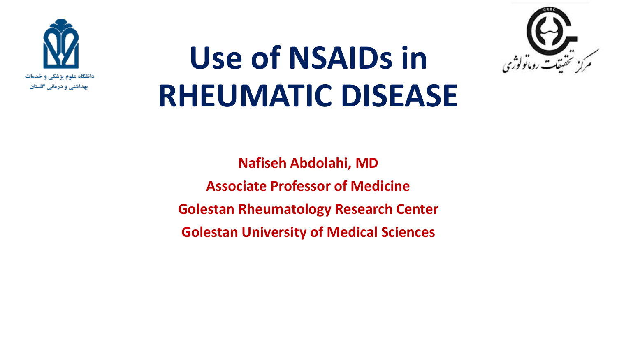

# **Use of NSAIDs in RHEUMATIC DISEASE**



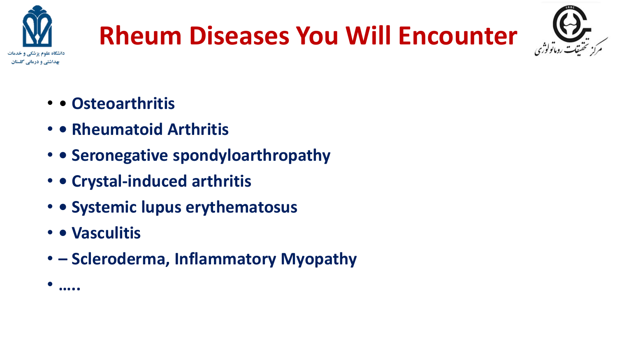

# **Rheum Diseases You Will Encounter**



- • **Osteoarthritis**
- **Rheumatoid Arthritis**
- **Seronegative spondyloarthropathy**
- **Crystal-induced arthritis**
- **Systemic lupus erythematosus**
- **Vasculitis**
- **– Scleroderma, Inflammatory Myopathy**

• **…..**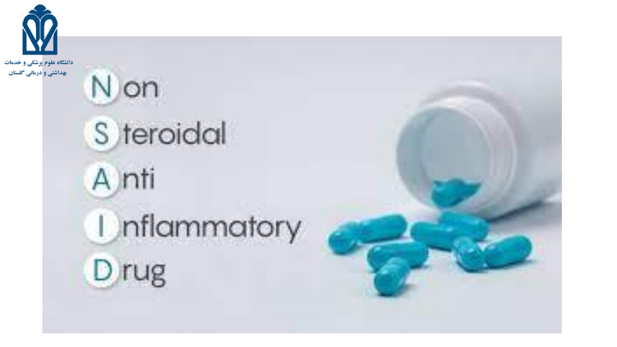

# N on S teroidal A nti I Inflammatory D<sub>rug</sub>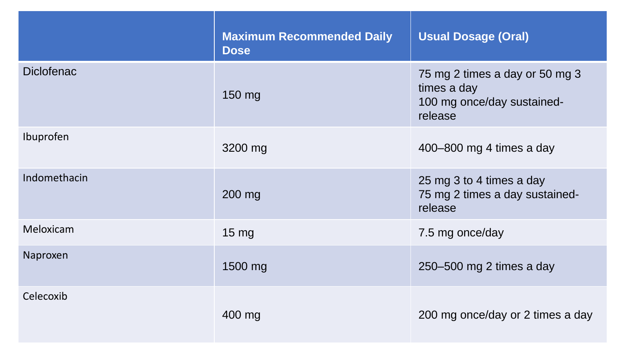|                   | <b>Maximum Recommended Daily</b><br><b>Dose</b> | <b>Usual Dosage (Oral)</b>                                                             |
|-------------------|-------------------------------------------------|----------------------------------------------------------------------------------------|
| <b>Diclofenac</b> | 150 mg                                          | 75 mg 2 times a day or 50 mg 3<br>times a day<br>100 mg once/day sustained-<br>release |
| Ibuprofen         | 3200 mg                                         | 400–800 mg 4 times a day                                                               |
| Indomethacin      | $200$ mg                                        | 25 mg 3 to 4 times a day<br>75 mg 2 times a day sustained-<br>release                  |
| Meloxicam         | $15 \text{ mg}$                                 | 7.5 mg once/day                                                                        |
| Naproxen          | 1500 mg                                         | 250–500 mg 2 times a day                                                               |
| Celecoxib         | 400 mg                                          | 200 mg once/day or 2 times a day                                                       |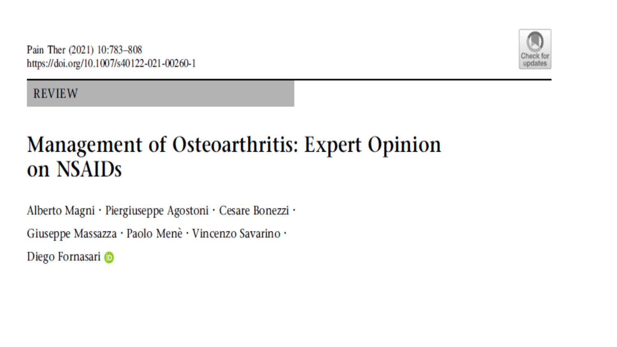Pain Ther (2021) 10:783-808 https://doi.org/10.1007/s40122-021-00260-1



**REVIEW** 

### **Management of Osteoarthritis: Expert Opinion** on NSAIDs

Alberto Magni · Piergiuseppe Agostoni · Cesare Bonezzi ·

Giuseppe Massazza · Paolo Menè · Vincenzo Savarino ·

Diego Fornasari D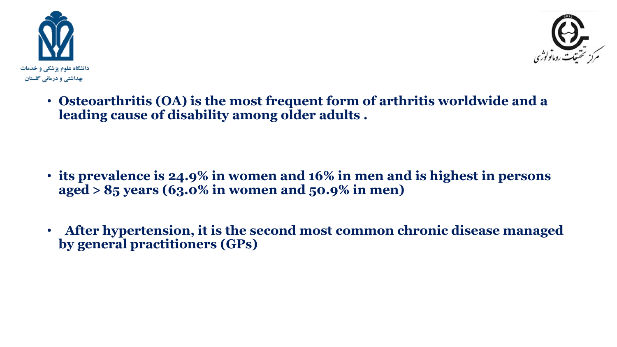



• **Osteoarthritis (OA) is the most frequent form of arthritis worldwide and a leading cause of disability among older adults .** 

- **its prevalence is 24.9% in women and 16% in men and is highest in persons aged > 85 years (63.0% in women and 50.9% in men)**
- • **After hypertension, it is the second most common chronic disease managed by general practitioners (GPs)**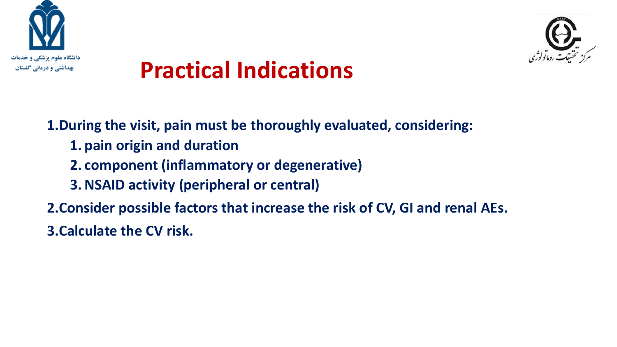



## **Practical Indications**

**1.During the visit, pain must be thoroughly evaluated, considering:** 

- **1. pain origin and duration**
- **2. component (inflammatory or degenerative)**
- **3. NSAID activity (peripheral or central)**
- **2.Consider possible factors that increase the risk of CV, GI and renal AEs.**
- **3.Calculate the CV risk.**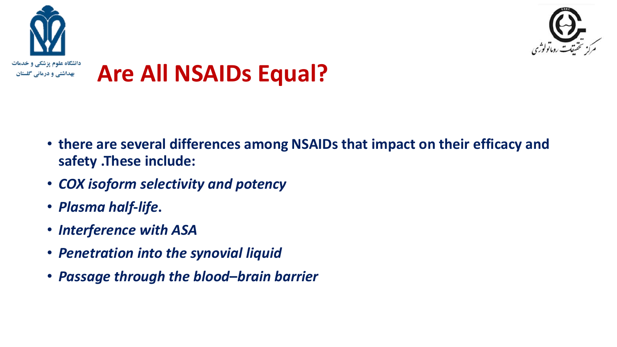



- *COX isoform selectivity and potency*
- *Plasma half***-***life***.**
- *Interference with ASA*
- *Penetration into the synovial liquid*
- *Passage through the blood***–***brain barrier*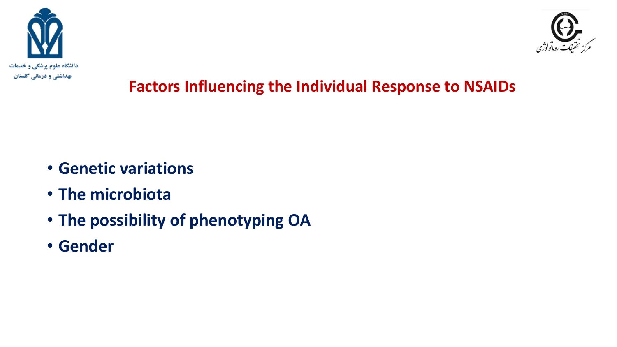



### **Factors Influencing the Individual Response to NSAIDs**

- **Genetic variations**
- **The microbiota**
- **The possibility of phenotyping OA**
- **Gender**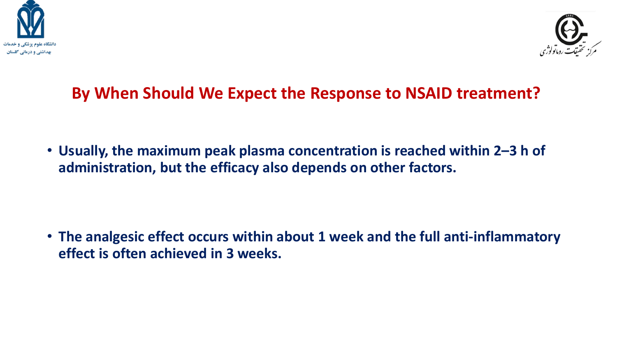



### **By When Should We Expect the Response to NSAID treatment?**

• **Usually, the maximum peak plasma concentration is reached within 2–3 h of administration, but the efficacy also depends on other factors.**

• **The analgesic effect occurs within about 1 week and the full anti-inflammatory effect is often achieved in 3 weeks.**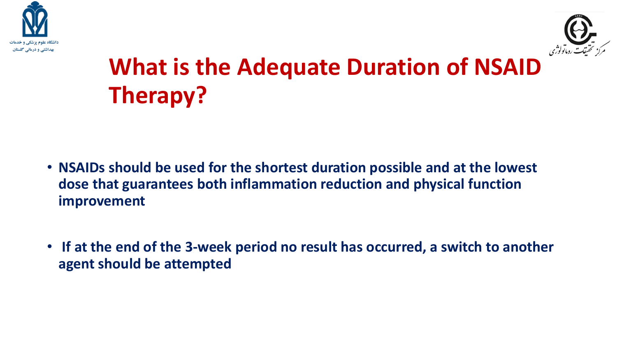



# **What is the Adequate Duration of NSAID Therapy?**

- **NSAIDs should be used for the shortest duration possible and at the lowest dose that guarantees both inflammation reduction and physical function improvement**
- **If at the end of the 3-week period no result has occurred, a switch to another agent should be attempted**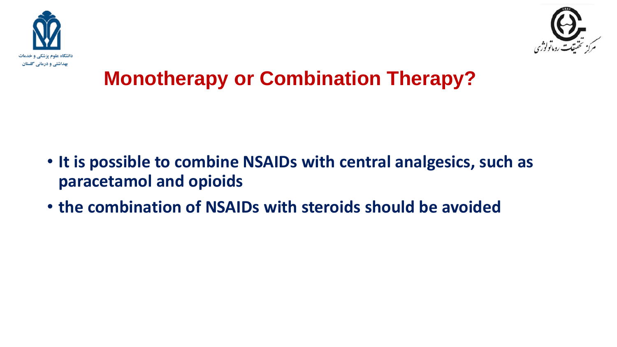



### **Monotherapy or Combination Therapy?**

- **It is possible to combine NSAIDs with central analgesics, such as paracetamol and opioids**
- **the combination of NSAIDs with steroids should be avoided**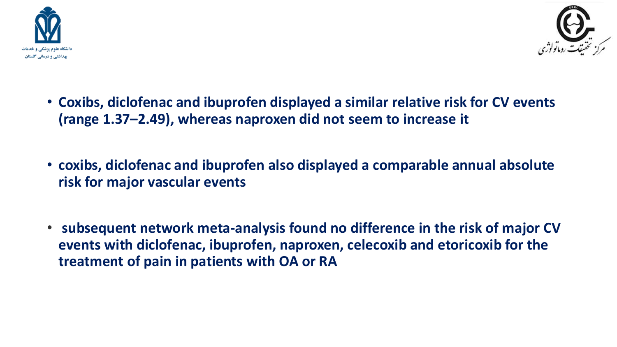



- **Coxibs, diclofenac and ibuprofen displayed a similar relative risk for CV events (range 1.37–2.49), whereas naproxen did not seem to increase it**
- **coxibs, diclofenac and ibuprofen also displayed a comparable annual absolute risk for major vascular events**
- **subsequent network meta-analysis found no difference in the risk of major CV events with diclofenac, ibuprofen, naproxen, celecoxib and etoricoxib for the treatment of pain in patients with OA or RA**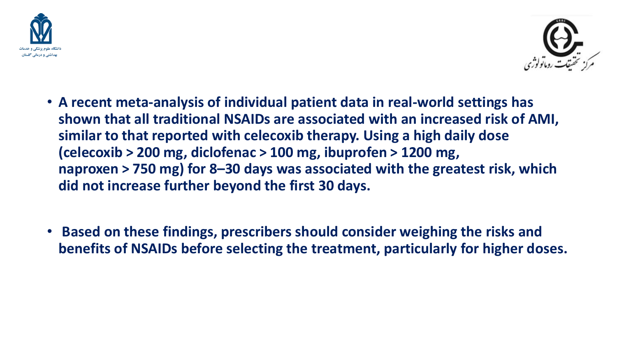



- **A recent meta-analysis of individual patient data in real-world settings has shown that all traditional NSAIDs are associated with an increased risk of AMI, similar to that reported with celecoxib therapy. Using a high daily dose (celecoxib > 200 mg, diclofenac > 100 mg, ibuprofen > 1200 mg, naproxen > 750 mg) for 8–30 days was associated with the greatest risk, which did not increase further beyond the first 30 days.**
- • **Based on these findings, prescribers should consider weighing the risks and benefits of NSAIDs before selecting the treatment, particularly for higher doses.**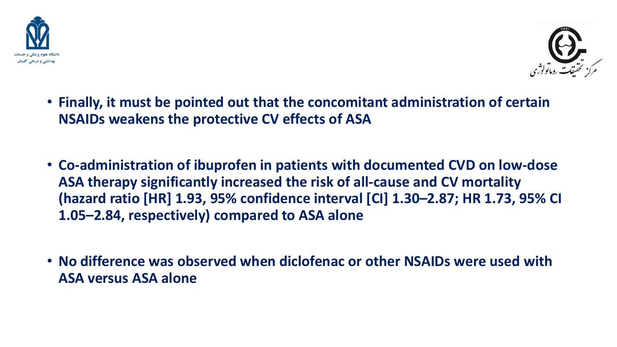



- **Finally, it must be pointed out that the concomitant administration of certain NSAIDs weakens the protective CV effects of ASA**
- **Co-administration of ibuprofen in patients with documented CVD on low-dose ASA therapy significantly increased the risk of all-cause and CV mortality (hazard ratio [HR] 1.93, 95% confidence interval [CI] 1.30–2.87; HR 1.73, 95% CI 1.05–2.84, respectively) compared to ASA alone**
- **No difference was observed when diclofenac or other NSAIDs were used with ASA versus ASA alone**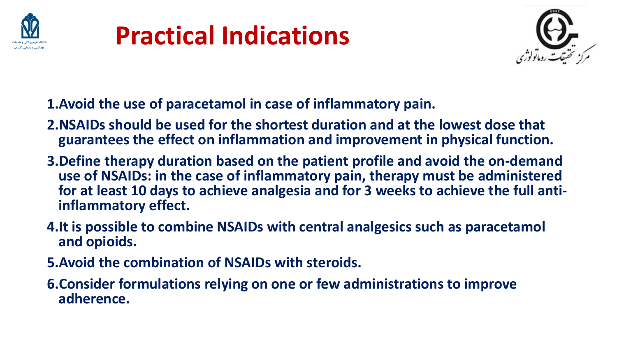

# **Practical Indications**



**1.Avoid the use of paracetamol in case of inflammatory pain.** 

- **2.NSAIDs should be used for the shortest duration and at the lowest dose that guarantees the effect on inflammation and improvement in physical function.**
- **3.Define therapy duration based on the patient profile and avoid the on-demand use of NSAIDs: in the case of inflammatory pain, therapy must be administered for at least 10 days to achieve analgesia and for 3 weeks to achieve the full antiinflammatory effect.**
- **4.It is possible to combine NSAIDs with central analgesics such as paracetamol and opioids.**
- **5.Avoid the combination of NSAIDs with steroids.**
- **6.Consider formulations relying on one or few administrations to improve adherence.**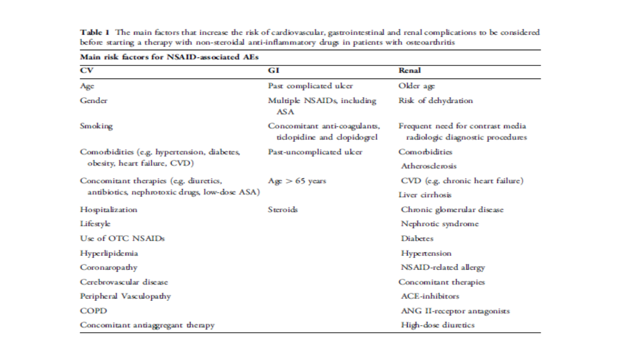Table 1 The main factors that increase the risk of cardiovascular, gastrointestinal and renal complications to be considered before starting a therapy with non-steroidal anti-inflammatory drugs in patients with osteoarthritis

Main risk factors for NSAID-associated AEs

| $\mathbf{C}\mathbf{V}$                                                      | GI                                                          | Renal                                                                |
|-----------------------------------------------------------------------------|-------------------------------------------------------------|----------------------------------------------------------------------|
| Age                                                                         | Past complicated ulcer                                      | Older age                                                            |
| Gender                                                                      | Multiple NSAIDs, including<br><b>ASA</b>                    | Risk of dehydration                                                  |
| <b>Smoking</b>                                                              | Concomitant anti-coagulants,<br>ticlopidine and clopidogrel | Frequent need for contrast media<br>radiologic diagnostic procedures |
| Comorbidities (e.g. hypertension, diabetes,<br>obesity, heart failure, CVD) | Past-uncomplicated ulcer                                    | Comorbidities<br>Atherosclerosis                                     |
| Concomitant therapies (e.g. diureties,                                      | $Age > 65$ years                                            | CVD (e.g. chronic heart failure)                                     |
| antibiotics, nephrotoxic drugs, low-dose ASA)                               |                                                             | Liver cirrhosis                                                      |
| Hospitalization                                                             | <b>Steroids</b>                                             | Chronic glomerular disease                                           |
| Lifestyle                                                                   |                                                             | Nephrotic syndrome                                                   |
| Use of OTC NSAIDs                                                           |                                                             | Diabetes                                                             |
| Hyperlipidemia                                                              |                                                             | <b>Hypertension</b>                                                  |
| Coronaropathy                                                               |                                                             | NSAID-related allergy                                                |
| Cerebrovascular disease                                                     |                                                             | Concomitant therapies                                                |
| Peripheral Vasculopathy                                                     |                                                             | <b>ACE-inhibitors</b>                                                |
| <b>COPD</b>                                                                 |                                                             | ANG II-receptor antagonists                                          |
| Concomitant antiaggregant therapy                                           |                                                             | High-dose diuretics                                                  |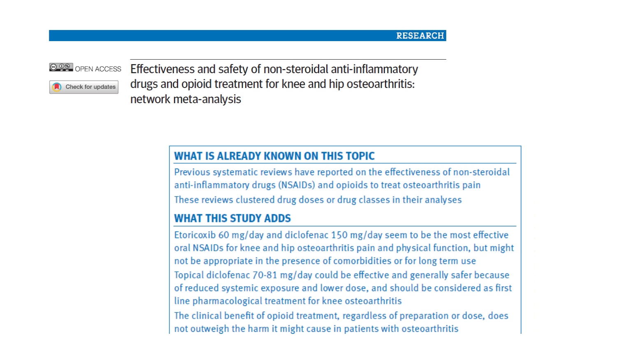#### **RESEARCH**



Check for updates

Effectiveness and safety of non-steroidal anti-inflammatory drugs and opioid treatment for knee and hip osteoarthritis: network meta-analysis

#### **WHAT IS ALREADY KNOWN ON THIS TOPIC**

Previous systematic reviews have reported on the effectiveness of non-steroidal anti-inflammatory drugs (NSAIDs) and opioids to treat osteoarthritis pain These reviews clustered drug doses or drug classes in their analyses

#### **WHAT THIS STUDY ADDS**

Etoricoxib 60 mg/day and diclofenac 150 mg/day seem to be the most effective oral NSAIDs for knee and hip osteoarthritis pain and physical function, but might not be appropriate in the presence of comorbidities or for long term use Topical diclofenac 70-81 mg/day could be effective and generally safer because of reduced systemic exposure and lower dose, and should be considered as first line pharmacological treatment for knee osteoarthritis The clinical benefit of opioid treatment, regardless of preparation or dose, does not outweigh the harm it might cause in patients with osteoarthritis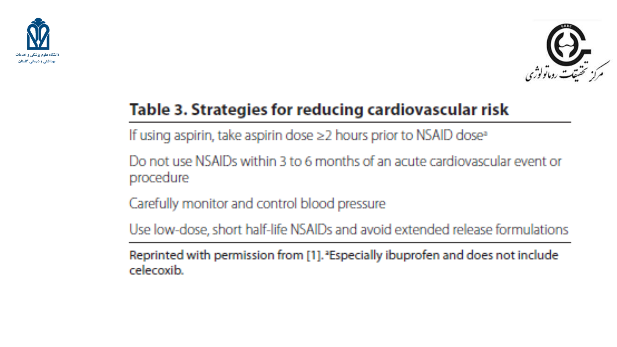



### Table 3. Strategies for reducing cardiovascular risk

If using aspirin, take aspirin dose  $\geq$  hours prior to NSAID dose<sup>3</sup>

Do not use NSAIDs within 3 to 6 months of an acute cardiovascular event or procedure

Carefully monitor and control blood pressure

Use low-dose, short half-life NSAIDs and avoid extended release formulations

Reprinted with permission from [1]. "Especially ibuprofen and does not include celecoxib.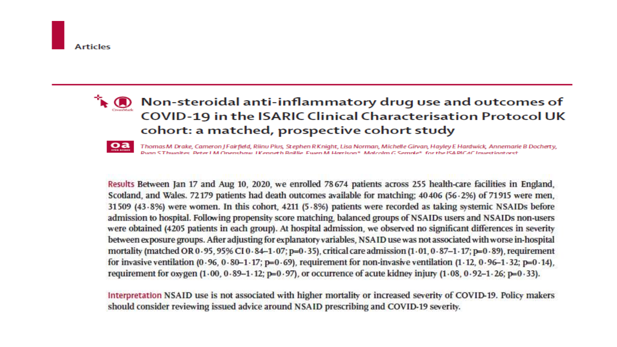#### $\hat{\mathbf{A}}$  (  $\bullet$  Non-steroidal anti-inflammatory drug use and outcomes of COVID-19 in the ISARIC Clinical Characterisation Protocol UK cohort: a matched, prospective cohort study

 $Q_{\mathbf{a}}$ Thomas M Drake, Cameron J Fairfield, Riinu Pius, Stephen R Knight, Lisa Norman, Michelle Girvan, Hayley E Hardwick, Annemarie B Docherty, .<br>Punn SThwaites: Peter | M Onenshaw | Kenneth Raillie: Fwen M Harrison\*. Malcolm G Semale\*. for the ISΔDICAC Investigatorst

Results Between Jan 17 and Aug 10, 2020, we enrolled 78674 patients across 255 health-care facilities in England, Scotland, and Wales, 72179 patients had death outcomes available for matching;  $40406$  (56 $\cdot$ 2%) of 71915 were men, 31509 (43.8%) were women. In this cohort, 4211 (5.8%) patients were recorded as taking systemic NSAIDs before admission to hospital. Following propensity score matching, balanced groups of NSAIDs users and NSAIDs non-users were obtained (4205 patients in each group). At hospital admission, we observed no significant differences in severity between exposure groups. After adjusting for explanatory variables, NSAID use was not associated with worse in-hospital mortality (matched OR  $0.95$ , 95% CI  $0.84-1.07$ ; p=0.35), critical care admission  $(1.01, 0.87-1.17$ ; p=0.89), requirement for invasive ventilation (0.96, 0.80-1.17;  $p=0.69$ ), requirement for non-invasive ventilation (1.12, 0.96-1.32;  $p=0.14$ ), requirement for oxygen (1.00, 0.89-1.12; p=0.97), or occurrence of acute kidney injury (1.08, 0.92-1.26; p=0.33).

Interpretation NSAID use is not associated with higher mortality or increased severity of COVID-19. Policy makers should consider reviewing issued advice around NSAID prescribing and COVID-19 severity.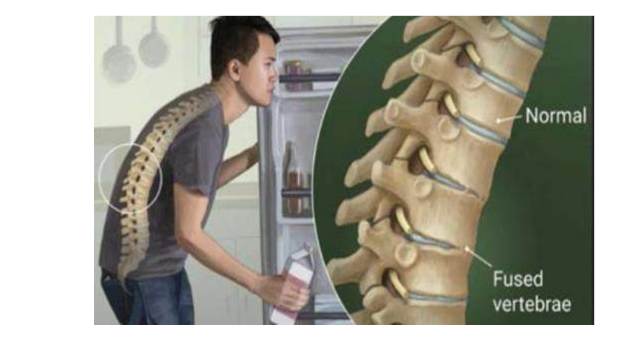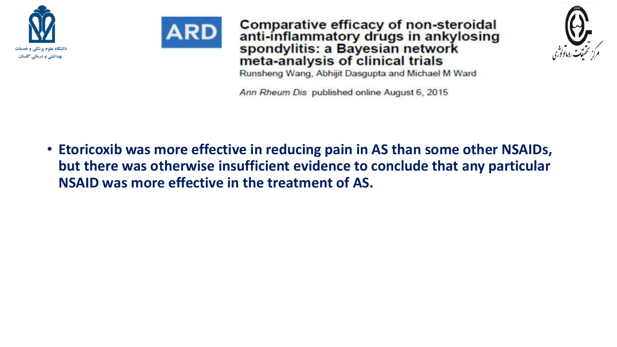



**Comparative efficacy of non-steroidal** anti-inflammatory drugs in ankylosing<br>spondylitis: a Bayesian network meta-analysis of clinical trials



Runsheng Wang, Abhijit Dasgupta and Michael M Ward

Ann Rheum Dis published online August 6, 2015

• **Etoricoxib was more effective in reducing pain in AS than some other NSAIDs, but there was otherwise insufficient evidence to conclude that any particular NSAID was more effective in the treatment of AS.**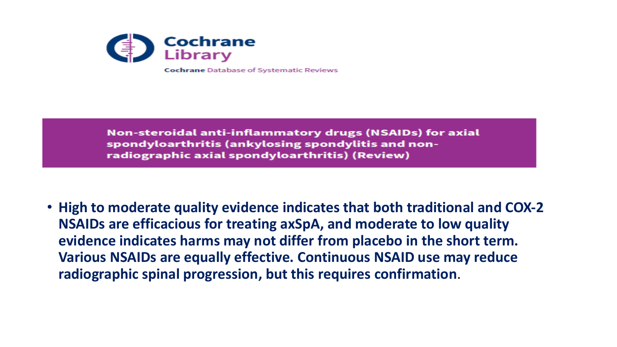

**Cochrane Database of Systematic Reviews** 

Non-steroidal anti-inflammatory drugs (NSAIDs) for axial spondyloarthritis (ankylosing spondylitis and nonradiographic axial spondyloarthritis) (Review)

• **High to moderate quality evidence indicates that both traditional and COX‐2 NSAIDs are efficacious for treating axSpA, and moderate to low quality evidence indicates harms may not differ from placebo in the short term. Various NSAIDs are equally effective. Continuous NSAID use may reduce radiographic spinal progression, but this requires confirmation**.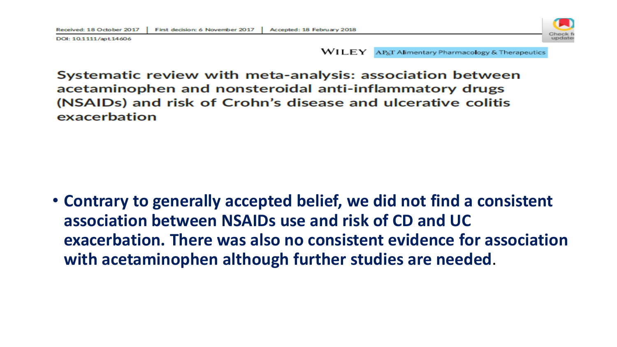DOI: 10.1111/apt.14606



 $WILEY$  AP<sub>&</sub>T Alimentary Pharmacology & Therapeutics

Systematic review with meta-analysis: association between acetaminophen and nonsteroidal anti-inflammatory drugs (NSAIDs) and risk of Crohn's disease and ulcerative colitis exacerbation

• Contrary to generally accepted belief, we did not find a consistent association between NSAIDs use and risk of CD and UC exacerbation. There was also no consistent evidence for association with acetaminophen although further studies are needed.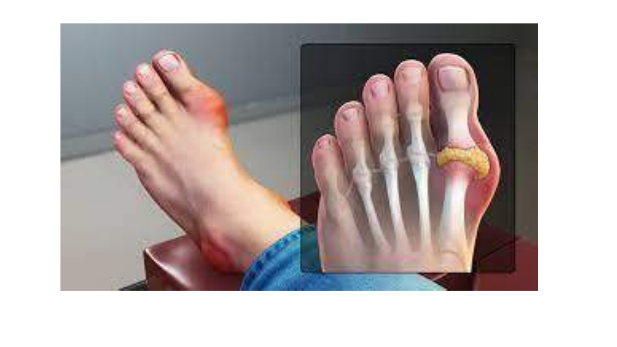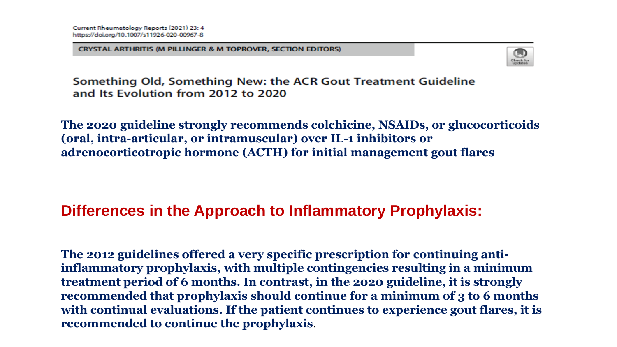**CRYSTAL ARTHRITIS (M PILLINGER & M TOPROVER, SECTION EDITORS)** 



Something Old, Something New: the ACR Gout Treatment Guideline and Its Evolution from 2012 to 2020

**The 2020 guideline strongly recommends colchicine, NSAIDs, or glucocorticoids (oral, intra-articular, or intramuscular) over IL-1 inhibitors or adrenocorticotropic hormone (ACTH) for initial management gout flares**

### **Differences in the Approach to Inflammatory Prophylaxis:**

**The 2012 guidelines offered a very specific prescription for continuing antiinflammatory prophylaxis, with multiple contingencies resulting in a minimum treatment period of 6 months. In contrast, in the 2020 guideline, it is strongly recommended that prophylaxis should continue for a minimum of 3 to 6 months with continual evaluations. If the patient continues to experience gout flares, it is recommended to continue the prophylaxis**.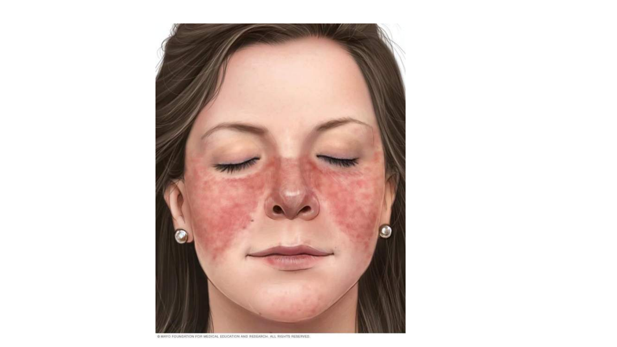

@ MAYO FOUNDATION FOR MEDICAL EDUCATION AND RESEARCH, ALL RIGHTS RESERVED.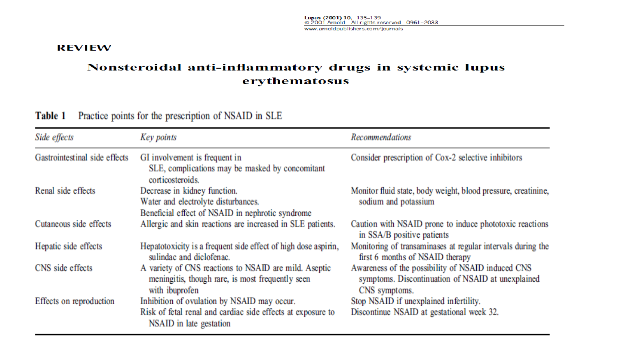**REVIEW** 

#### Nonsteroidal anti-inflammatory drugs in systemic lupus erythematosus

| Side effects                  | Key points                                                                                                                            | Recommendations                                                                                                         |
|-------------------------------|---------------------------------------------------------------------------------------------------------------------------------------|-------------------------------------------------------------------------------------------------------------------------|
| Gastrointestinal side effects | GI involvement is frequent in<br>SLE, complications may be masked by concomitant<br>corticosteroids.                                  | Consider prescription of Cox-2 selective inhibitors                                                                     |
| Renal side effects            | Decrease in kidney function.<br>Water and electrolyte disturbances.<br>Beneficial effect of NSAID in nephrotic syndrome               | Monitor fluid state, body weight, blood pressure, creatinine,<br>sodium and potassium                                   |
| Cutaneous side effects        | Allergic and skin reactions are increased in SLE patients.                                                                            | Caution with NSAID prone to induce phototoxic reactions<br>in SSA/B positive patients                                   |
| Hepatic side effects          | Hepatotoxicity is a frequent side effect of high dose aspirin,<br>sulindac and diclofenac.                                            | Monitoring of transaminases at regular intervals during the<br>first 6 months of NSAID therapy                          |
| CNS side effects              | A variety of CNS reactions to NSAID are mild. Aseptic<br>meningitis, though rare, is most frequently seen<br>with ibuprofen           | Awareness of the possibility of NSAID induced CNS<br>symptoms. Discontinuation of NSAID at unexplained<br>CNS symptoms. |
| Effects on reproduction       | Inhibition of ovulation by NSAID may occur.<br>Risk of fetal renal and cardiac side effects at exposure to<br>NSAID in late gestation | Stop NSAID if unexplained infertility.<br>Discontinue NSAID at gestational week 32.                                     |

Table 1 Practice points for the prescription of NSAID in SLE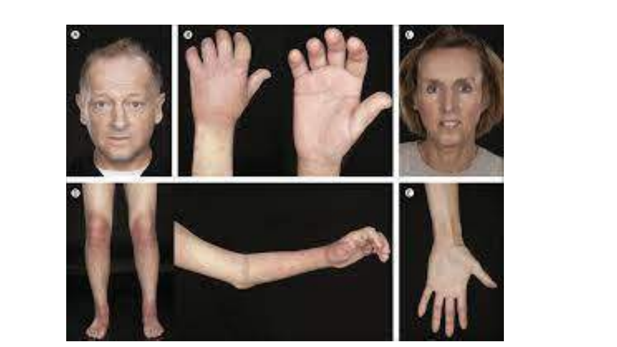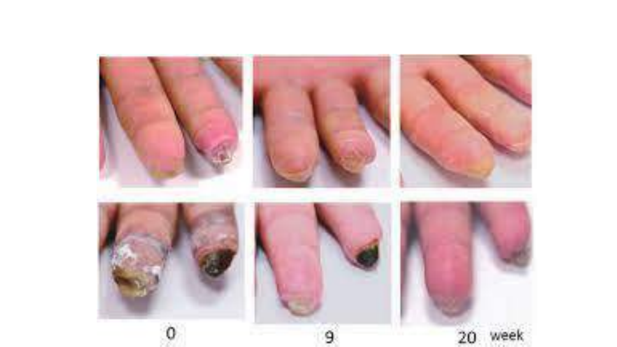

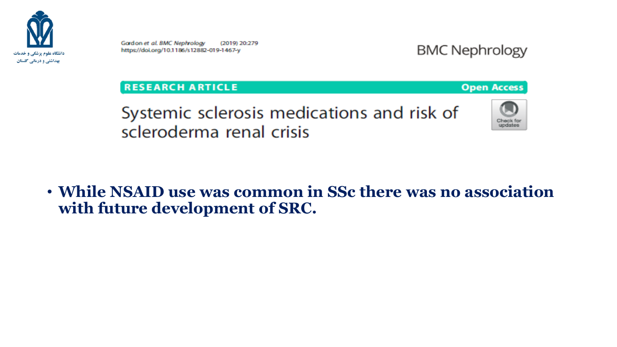

Gardon et al. BMC Nephrology (2019) 20:279 https://doi.org/10.1186/s12882-019-1467-y

**BMC Nephrology** 

**RESEARCH ARTICLE** 

**Open Access** 

Check for updates.



• While NSAID use was common in SSc there was no association with future development of SRC.